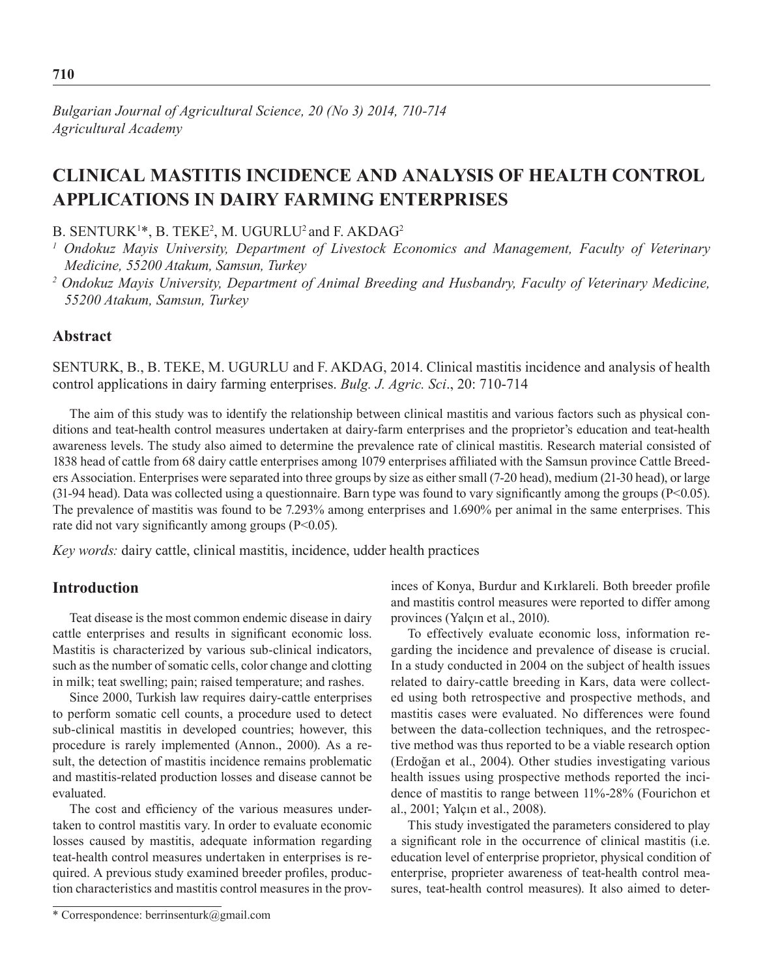## **Clinical Mastitis Incidence and Analysis of Health Control Applications in Dairy Farming Enterprises**

B. SENTURK<sup>1</sup>\*, B. TEKE<sup>2</sup>, M. UGURLU<sup>2</sup> and F. AKDAG<sup>2</sup>

## **Abstract**

SENTURK, B., B. TEKE, M. UGURLU and F. AKDAG, 2014. Clinical mastitis incidence and analysis of health control applications in dairy farming enterprises. *Bulg. J. Agric. Sci*., 20: 710-714

The aim of this study was to identify the relationship between clinical mastitis and various factors such as physical conditions and teat-health control measures undertaken at dairy-farm enterprises and the proprietor's education and teat-health awareness levels. The study also aimed to determine the prevalence rate of clinical mastitis. Research material consisted of 1838 head of cattle from 68 dairy cattle enterprises among 1079 enterprises affiliated with the Samsun province Cattle Breeders Association. Enterprises were separated into three groups by size as either small (7-20 head), medium (21-30 head), or large (31-94 head). Data was collected using a questionnaire. Barn type was found to vary significantly among the groups ( $P<0.05$ ). The prevalence of mastitis was found to be 7.293% among enterprises and 1.690% per animal in the same enterprises. This rate did not vary significantly among groups (P<0.05).

*Key words:* dairy cattle, clinical mastitis, incidence, udder health practices

## **Introduction**

Teat disease is the most common endemic disease in dairy cattle enterprises and results in significant economic loss. Mastitis is characterized by various sub-clinical indicators, such as the number of somatic cells, color change and clotting in milk; teat swelling; pain; raised temperature; and rashes.

Since 2000, Turkish law requires dairy-cattle enterprises to perform somatic cell counts, a procedure used to detect sub-clinical mastitis in developed countries; however, this procedure is rarely implemented (Annon., 2000). As a result, the detection of mastitis incidence remains problematic and mastitis-related production losses and disease cannot be evaluated.

The cost and efficiency of the various measures undertaken to control mastitis vary. In order to evaluate economic losses caused by mastitis, adequate information regarding teat-health control measures undertaken in enterprises is required. A previous study examined breeder profiles, production characteristics and mastitis control measures in the provinces of Konya, Burdur and Kırklareli. Both breeder profile and mastitis control measures were reported to differ among provinces (Yalçın et al., 2010).

To effectively evaluate economic loss, information regarding the incidence and prevalence of disease is crucial. In a study conducted in 2004 on the subject of health issues related to dairy-cattle breeding in Kars, data were collected using both retrospective and prospective methods, and mastitis cases were evaluated. No differences were found between the data-collection techniques, and the retrospective method was thus reported to be a viable research option (Erdoğan et al., 2004). Other studies investigating various health issues using prospective methods reported the incidence of mastitis to range between 11%-28% (Fourichon et al., 2001; Yalçın et al., 2008).

This study investigated the parameters considered to play a significant role in the occurrence of clinical mastitis (i.e. education level of enterprise proprietor, physical condition of enterprise, proprieter awareness of teat-health control measures, teat-health control measures). It also aimed to deter-

<sup>&</sup>lt;sup>1</sup> Ondokuz Mayis University, Department of Livestock Economics and Management, Faculty of Veterinary *Medicine, 55200 Atakum, Samsun, Turkey*

*<sup>2</sup> Ondokuz Mayis University, Department of Animal Breeding and Husbandry, Faculty of Veterinary Medicine, 55200 Atakum, Samsun, Turkey*

<sup>\*</sup> Correspondence: berrinsenturk@gmail.com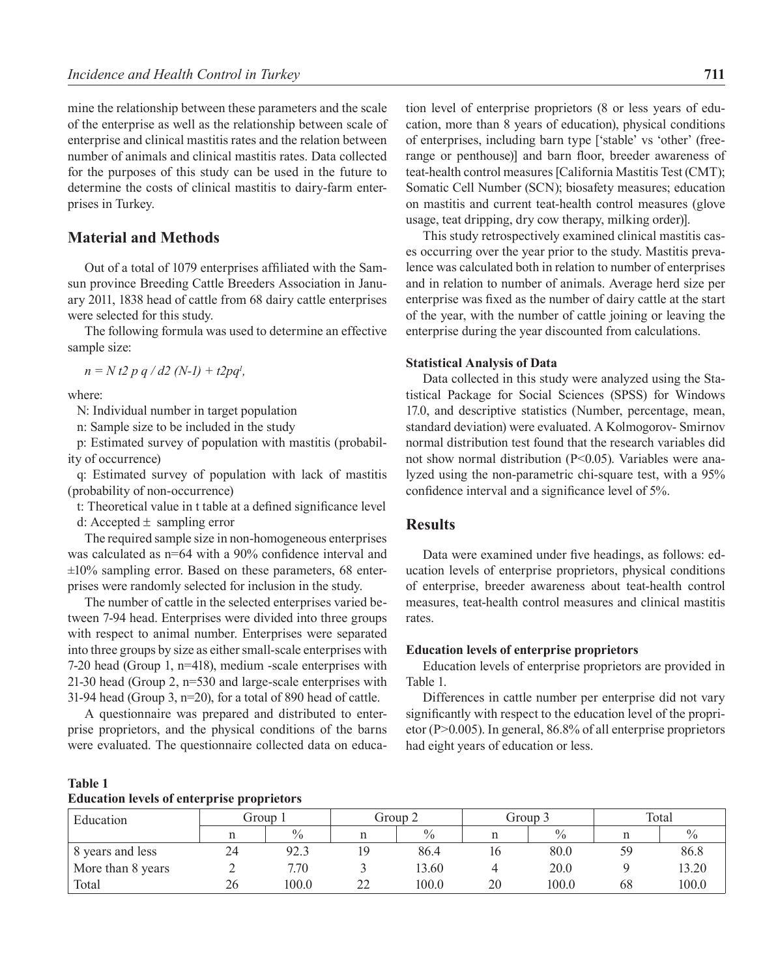mine the relationship between these parameters and the scale of the enterprise as well as the relationship between scale of enterprise and clinical mastitis rates and the relation between number of animals and clinical mastitis rates. Data collected for the purposes of this study can be used in the future to determine the costs of clinical mastitis to dairy-farm enterprises in Turkey.

## **Material and Methods**

Out of a total of 1079 enterprises affiliated with the Samsun province Breeding Cattle Breeders Association in January 2011, 1838 head of cattle from 68 dairy cattle enterprises were selected for this study.

The following formula was used to determine an effective sample size:

*n = N t2 p q / d2 (N-1) + t2pq1 ,*

where:

N: Individual number in target population

n: Sample size to be included in the study

p: Estimated survey of population with mastitis (probability of occurrence)

q: Estimated survey of population with lack of mastitis (probability of non-occurrence)

t: Theoretical value in t table at a defined significance level

d: Accepted  $\pm$  sampling error

The required sample size in non-homogeneous enterprises was calculated as  $n=64$  with a 90% confidence interval and  $\pm 10\%$  sampling error. Based on these parameters, 68 enterprises were randomly selected for inclusion in the study.

The number of cattle in the selected enterprises varied between 7-94 head. Enterprises were divided into three groups with respect to animal number. Enterprises were separated into three groups by size as either small-scale enterprises with 7-20 head (Group 1, n=418), medium -scale enterprises with 21-30 head (Group 2, n=530 and large-scale enterprises with 31-94 head (Group 3, n=20), for a total of 890 head of cattle.

A questionnaire was prepared and distributed to enterprise proprietors, and the physical conditions of the barns were evaluated. The questionnaire collected data on educa-

tion level of enterprise proprietors (8 or less years of education, more than 8 years of education), physical conditions of enterprises, including barn type ['stable' vs 'other' (freerange or penthouse)] and barn floor, breeder awareness of teat-health control measures [California Mastitis Test (CMT); Somatic Cell Number (SCN); biosafety measures; education on mastitis and current teat-health control measures (glove usage, teat dripping, dry cow therapy, milking order)].

This study retrospectively examined clinical mastitis cases occurring over the year prior to the study. Mastitis prevalence was calculated both in relation to number of enterprises and in relation to number of animals. Average herd size per enterprise was fixed as the number of dairy cattle at the start of the year, with the number of cattle joining or leaving the enterprise during the year discounted from calculations.

#### **Statistical Analysis of Data**

Data collected in this study were analyzed using the Statistical Package for Social Sciences (SPSS) for Windows 17.0, and descriptive statistics (Number, percentage, mean, standard deviation) were evaluated. A Kolmogorov- Smirnov normal distribution test found that the research variables did not show normal distribution (P<0.05). Variables were analyzed using the non-parametric chi-square test, with a 95% confidence interval and a significance level of 5%.

## **Results**

Data were examined under five headings, as follows: education levels of enterprise proprietors, physical conditions of enterprise, breeder awareness about teat-health control measures, teat-health control measures and clinical mastitis rates.

#### **Education levels of enterprise proprietors**

Education levels of enterprise proprietors are provided in Table 1.

Differences in cattle number per enterprise did not vary significantly with respect to the education level of the proprietor (P>0.005). In general, 86.8% of all enterprise proprietors had eight years of education or less.

# **Table 1**

## **Education levels of enterprise proprietors**

| Education         | Group 1 |       | Group 2 |               | Group 3 |       | Total |               |
|-------------------|---------|-------|---------|---------------|---------|-------|-------|---------------|
|                   | n       | $\%$  |         | $\frac{0}{0}$ |         | $\%$  |       | $\frac{0}{0}$ |
| 8 years and less  | 24      | 92.3  |         | 86.4          |         | 80.0  | 59    | 86.8          |
| More than 8 years |         | 7.70  |         | 13.60         |         | 20.0  |       | 13.20         |
| Total             | 26      | 100.0 | າາ      | 100.0         | 20      | 100.0 | 68    | 100.0         |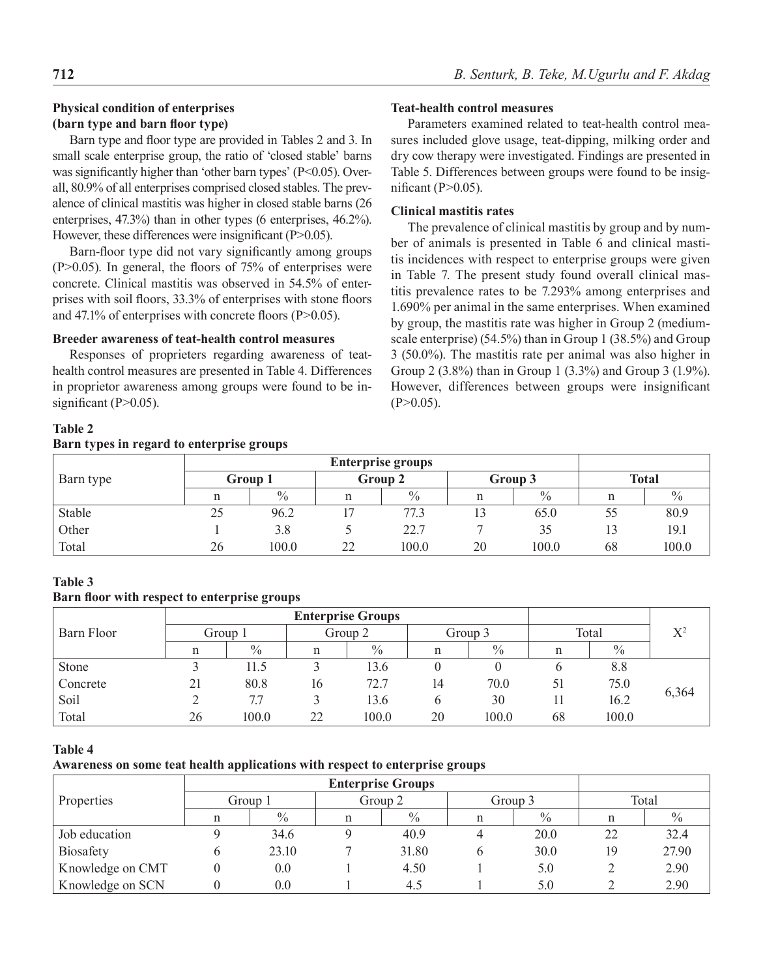## **Physical condition of enterprises (barn type and barn floor type)**

Barn type and floor type are provided in Tables 2 and 3. In small scale enterprise group, the ratio of 'closed stable' barns was significantly higher than 'other barn types'  $(P<0.05)$ . Overall, 80.9% of all enterprises comprised closed stables. The prevalence of clinical mastitis was higher in closed stable barns (26 enterprises, 47.3%) than in other types (6 enterprises, 46.2%). However, these differences were insignificant (P>0.05).

Barn-floor type did not vary significantly among groups  $(P>0.05)$ . In general, the floors of 75% of enterprises were concrete. Clinical mastitis was observed in 54.5% of enterprises with soil floors, 33.3% of enterprises with stone floors and 47.1% of enterprises with concrete floors (P>0.05).

#### **Breeder awareness of teat-health control measures**

Responses of proprieters regarding awareness of teathealth control measures are presented in Table 4. Differences in proprietor awareness among groups were found to be insignificant  $(P>0.05)$ .

#### **Teat-health control measures**

Parameters examined related to teat-health control measures included glove usage, teat-dipping, milking order and dry cow therapy were investigated. Findings are presented in Table 5. Differences between groups were found to be insignificant ( $P>0.05$ ).

## **Clinical mastitis rates**

The prevalence of clinical mastitis by group and by number of animals is presented in Table 6 and clinical mastitis incidences with respect to enterprise groups were given in Table 7. The present study found overall clinical mastitis prevalence rates to be 7.293% among enterprises and 1.690% per animal in the same enterprises. When examined by group, the mastitis rate was higher in Group 2 (mediumscale enterprise) (54.5%) than in Group 1 (38.5%) and Group 3 (50.0%). The mastitis rate per animal was also higher in Group 2 (3.8%) than in Group 1 (3.3%) and Group 3 (1.9%). However, differences between groups were insignificant  $(P>0.05)$ .

## **Table 2**

## **Barn types in regard to enterprise groups**

| Barn type | Group 1 |       | Group 2        |               | Group 3 |       | <b>Total</b> |               |
|-----------|---------|-------|----------------|---------------|---------|-------|--------------|---------------|
|           | n       | $\%$  |                | $\frac{0}{0}$ |         | $\%$  |              | $\frac{0}{0}$ |
| Stable    | 25      | 96.2  |                | 77.5          |         | 65.0  | 55           | 80.9          |
| Other     |         | 3.8   |                | 22.7          |         | 35    |              | 19.1          |
| Total     | 26      | 100.0 | $\gamma\gamma$ | 100.0         | 20      | 100.0 | 68           | 100.0         |

## **Table 3**

#### **Barn floor with respect to enterprise groups**

| Barn Floor | Group 1 |               | Group 2 |               | Group 3 |       | Total |               | $X^2$ |
|------------|---------|---------------|---------|---------------|---------|-------|-------|---------------|-------|
|            | n       | $\frac{0}{0}$ |         | $\frac{0}{0}$ |         | $\%$  |       | $\frac{0}{0}$ |       |
| Stone      |         | 11.5          |         | 13.6          |         |       |       | 8.8           |       |
| Concrete   | 21      | 80.8          | 16      | 72.7          | 14      | 70.0  | 51    | 75.0          |       |
| Soil       |         | 7.7           |         | 13.6          |         | 30    |       | 16.2          | 6,364 |
| Total      | 26      | 100.0         | 22      | 100.0         | 20      | 100.0 | 68    | 100.0         |       |

#### **Table 4**

### **Awareness on some teat health applications with respect to enterprise groups**

| <b>Properties</b> |   | Group 1 | Group 2 |               |   | Group 3 | Total |               |
|-------------------|---|---------|---------|---------------|---|---------|-------|---------------|
|                   |   | $\%$    |         | $\frac{0}{0}$ | n | $\%$    |       | $\frac{0}{0}$ |
| Job education     |   | 34.6    |         | 40.9          |   | 20.0    | 22    | 32.4          |
| <b>Biosafety</b>  | O | 23.10   |         | 31.80         | O | 30.0    | 19    | 27.90         |
| Knowledge on CMT  |   | 0.0     |         | 4.50          |   | 5.0     |       | 2.90          |
| Knowledge on SCN  |   | 0.0     |         | 4.1           |   | 5.0     |       | 2.90          |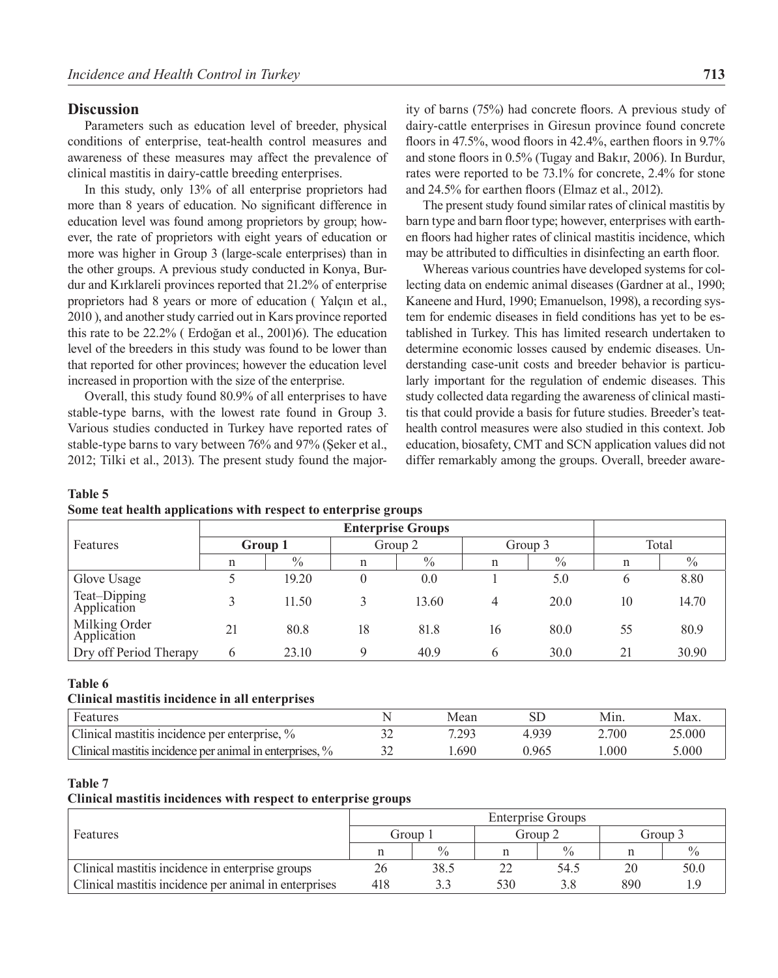### **Discussion**

Parameters such as education level of breeder, physical conditions of enterprise, teat-health control measures and awareness of these measures may affect the prevalence of clinical mastitis in dairy-cattle breeding enterprises.

In this study, only 13% of all enterprise proprietors had more than 8 years of education. No significant difference in education level was found among proprietors by group; however, the rate of proprietors with eight years of education or more was higher in Group 3 (large-scale enterprises) than in the other groups. A previous study conducted in Konya, Burdur and Kırklareli provinces reported that 21.2% of enterprise proprietors had 8 years or more of education ( Yalçın et al., 2010 ), and another study carried out in Kars province reported this rate to be 22.2% ( Erdoğan et al., 2001)6). The education level of the breeders in this study was found to be lower than that reported for other provinces; however the education level increased in proportion with the size of the enterprise.

Overall, this study found 80.9% of all enterprises to have stable-type barns, with the lowest rate found in Group 3. Various studies conducted in Turkey have reported rates of stable-type barns to vary between 76% and 97% (Şeker et al., 2012; Tilki et al., 2013). The present study found the major-

ity of barns (75%) had concrete floors. A previous study of dairy-cattle enterprises in Giresun province found concrete floors in 47.5%, wood floors in 42.4%, earthen floors in 9.7% and stone floors in 0.5% (Tugay and Bakır, 2006). In Burdur, rates were reported to be 73.1% for concrete, 2.4% for stone and 24.5% for earthen floors (Elmaz et al., 2012).

The present study found similar rates of clinical mastitis by barn type and barn floor type; however, enterprises with earthen floors had higher rates of clinical mastitis incidence, which may be attributed to difficulties in disinfecting an earth floor.

Whereas various countries have developed systems for collecting data on endemic animal diseases (Gardner at al., 1990; Kaneene and Hurd, 1990; Emanuelson, 1998), a recording system for endemic diseases in field conditions has yet to be established in Turkey. This has limited research undertaken to determine economic losses caused by endemic diseases. Understanding case-unit costs and breeder behavior is particularly important for the regulation of endemic diseases. This study collected data regarding the awareness of clinical mastitis that could provide a basis for future studies. Breeder's teathealth control measures were also studied in this context. Job education, biosafety, CMT and SCN application values did not differ remarkably among the groups. Overall, breeder aware-

| Some teat health applications with respect to enterprise groups |                         |         |  |  |  |  |  |  |
|-----------------------------------------------------------------|-------------------------|---------|--|--|--|--|--|--|
|                                                                 | <b>Enterprise Group</b> |         |  |  |  |  |  |  |
| Features                                                        | Group 1                 | Group 2 |  |  |  |  |  |  |

| <b>Table 5</b> |                                                                 |  |  |
|----------------|-----------------------------------------------------------------|--|--|
|                | Some teat health annlications with respect to enterprise groups |  |  |

| Features                     | Group 1 |               | Group 2 |       | Group 3 |      | Total        |       |
|------------------------------|---------|---------------|---------|-------|---------|------|--------------|-------|
|                              | n       | $\frac{0}{0}$ | n       | $\%$  | n       | $\%$ | n            | $\%$  |
| Glove Usage                  |         | 19.20         |         | 0.0   |         | 5.0  | <sub>(</sub> | 8.80  |
| Teat-Dipping<br>Application  |         | 11.50         |         | 13.60 | 4       | 20.0 | 10           | 14.70 |
| Milking Order<br>Application | 21      | 80.8          | 18      | 81.8  | 16      | 80.0 | 55           | 80.9  |
| Dry off Period Therapy       | b       | 23.10         |         | 40.9  | O       | 30.0 | 21           | 30.90 |

#### **Table 6**

#### **Clinical mastitis incidence in all enterprises**

| Features                                                 |     | Mean  |       | Min.  | Max.   |
|----------------------------------------------------------|-----|-------|-------|-------|--------|
| Clinical mastitis incidence per enterprise, %            |     | 7.293 | 4939  | 2.700 | 25.000 |
| Clinical mastitis incidence per animal in enterprises, % | ے ر | .690  | 0.965 | .000  | 0.000  |

#### **Table 7**

## **Clinical mastitis incidences with respect to enterprise groups**

|                                                       | <b>Enterprise Groups</b> |               |     |               |     |         |  |  |  |
|-------------------------------------------------------|--------------------------|---------------|-----|---------------|-----|---------|--|--|--|
| Features                                              | Group 1                  |               |     | Group 2       |     | Group 3 |  |  |  |
|                                                       |                          | $\frac{0}{0}$ |     | $\frac{0}{0}$ |     |         |  |  |  |
| Clinical mastitis incidence in enterprise groups      |                          | 38.5          |     | 54.5          | 20  | 50.0    |  |  |  |
| Clinical mastitis incidence per animal in enterprises | 418                      |               | 530 |               | 890 |         |  |  |  |